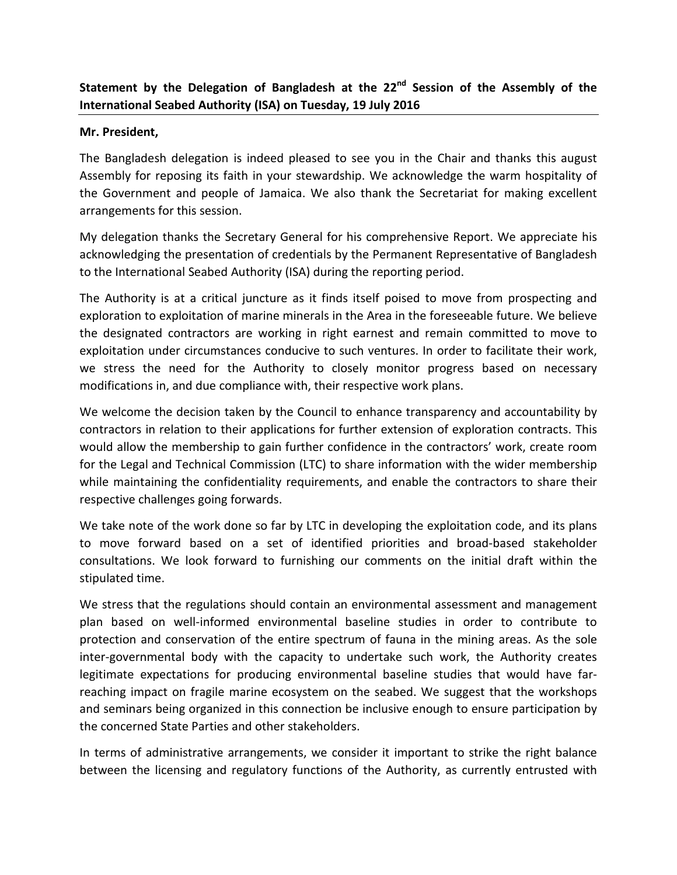## **Statement by the Delegation of Bangladesh at the 22nd Session of the Assembly of the International Seabed Authority (ISA) on Tuesday, 19 July 2016**

## **Mr. President,**

The Bangladesh delegation is indeed pleased to see you in the Chair and thanks this august Assembly for reposing its faith in your stewardship. We acknowledge the warm hospitality of the Government and people of Jamaica. We also thank the Secretariat for making excellent arrangements for this session.

My delegation thanks the Secretary General for his comprehensive Report. We appreciate his acknowledging the presentation of credentials by the Permanent Representative of Bangladesh to the International Seabed Authority (ISA) during the reporting period.

The Authority is at a critical juncture as it finds itself poised to move from prospecting and exploration to exploitation of marine minerals in the Area in the foreseeable future. We believe the designated contractors are working in right earnest and remain committed to move to exploitation under circumstances conducive to such ventures. In order to facilitate their work, we stress the need for the Authority to closely monitor progress based on necessary modifications in, and due compliance with, their respective work plans.

We welcome the decision taken by the Council to enhance transparency and accountability by contractors in relation to their applications for further extension of exploration contracts. This would allow the membership to gain further confidence in the contractors' work, create room for the Legal and Technical Commission (LTC) to share information with the wider membership while maintaining the confidentiality requirements, and enable the contractors to share their respective challenges going forwards.

We take note of the work done so far by LTC in developing the exploitation code, and its plans to move forward based on a set of identified priorities and broad-based stakeholder consultations. We look forward to furnishing our comments on the initial draft within the stipulated time.

We stress that the regulations should contain an environmental assessment and management plan based on well-informed environmental baseline studies in order to contribute to protection and conservation of the entire spectrum of fauna in the mining areas. As the sole inter-governmental body with the capacity to undertake such work, the Authority creates legitimate expectations for producing environmental baseline studies that would have farreaching impact on fragile marine ecosystem on the seabed. We suggest that the workshops and seminars being organized in this connection be inclusive enough to ensure participation by the concerned State Parties and other stakeholders.

In terms of administrative arrangements, we consider it important to strike the right balance between the licensing and regulatory functions of the Authority, as currently entrusted with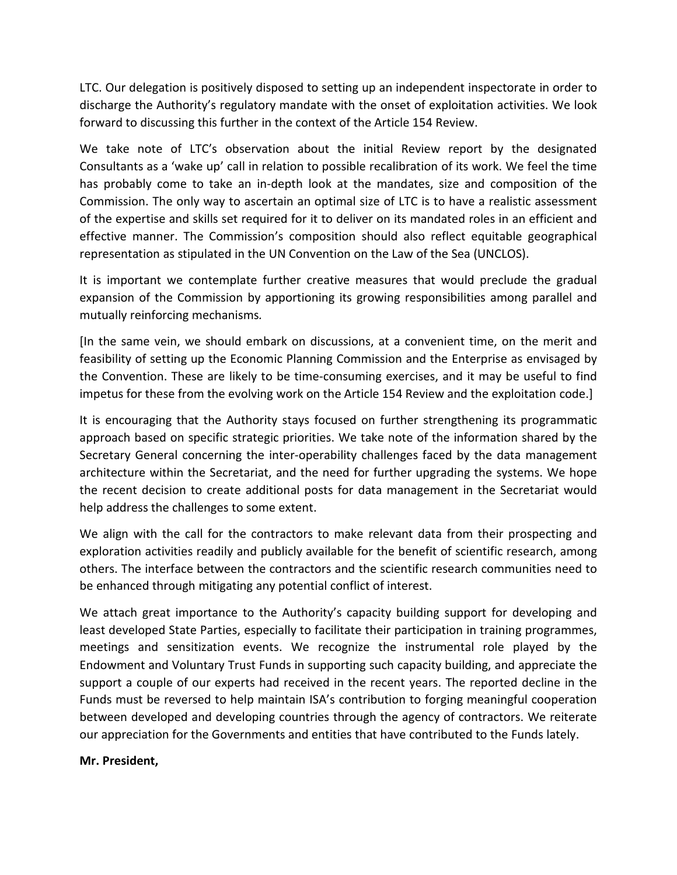LTC. Our delegation is positively disposed to setting up an independent inspectorate in order to discharge the Authority's regulatory mandate with the onset of exploitation activities. We look forward to discussing this further in the context of the Article 154 Review.

We take note of LTC's observation about the initial Review report by the designated Consultants as a 'wake up' call in relation to possible recalibration of its work. We feel the time has probably come to take an in-depth look at the mandates, size and composition of the Commission. The only way to ascertain an optimal size of LTC is to have a realistic assessment of the expertise and skills set required for it to deliver on its mandated roles in an efficient and effective manner. The Commission's composition should also reflect equitable geographical representation as stipulated in the UN Convention on the Law of the Sea (UNCLOS).

It is important we contemplate further creative measures that would preclude the gradual expansion of the Commission by apportioning its growing responsibilities among parallel and mutually reinforcing mechanisms*.*

[In the same vein, we should embark on discussions, at a convenient time, on the merit and feasibility of setting up the Economic Planning Commission and the Enterprise as envisaged by the Convention. These are likely to be time-consuming exercises, and it may be useful to find impetus for these from the evolving work on the Article 154 Review and the exploitation code.]

It is encouraging that the Authority stays focused on further strengthening its programmatic approach based on specific strategic priorities. We take note of the information shared by the Secretary General concerning the inter-operability challenges faced by the data management architecture within the Secretariat, and the need for further upgrading the systems. We hope the recent decision to create additional posts for data management in the Secretariat would help address the challenges to some extent.

We align with the call for the contractors to make relevant data from their prospecting and exploration activities readily and publicly available for the benefit of scientific research, among others. The interface between the contractors and the scientific research communities need to be enhanced through mitigating any potential conflict of interest.

We attach great importance to the Authority's capacity building support for developing and least developed State Parties, especially to facilitate their participation in training programmes, meetings and sensitization events. We recognize the instrumental role played by the Endowment and Voluntary Trust Funds in supporting such capacity building, and appreciate the support a couple of our experts had received in the recent years. The reported decline in the Funds must be reversed to help maintain ISA's contribution to forging meaningful cooperation between developed and developing countries through the agency of contractors. We reiterate our appreciation for the Governments and entities that have contributed to the Funds lately.

## **Mr. President,**